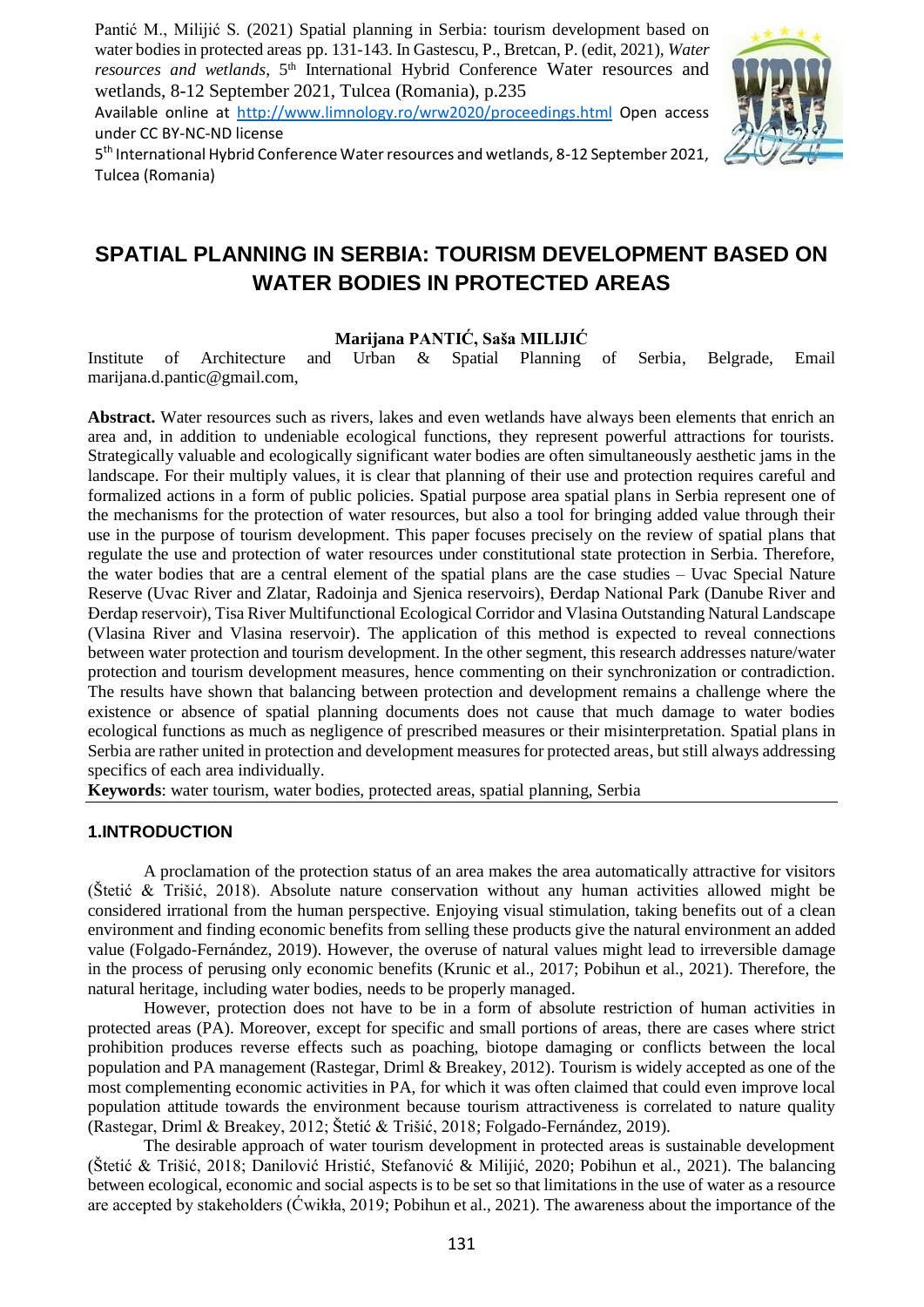Pantić M., Milijić S. (2021) Spatial planning in Serbia: tourism development based on water bodies in protected areas pp. 131-143. In Gastescu, P., Bretcan, P. (edit, 2021), *Water*  resources and wetlands, 5<sup>th</sup> International Hybrid Conference Water resources and wetlands, 8-12 September 2021, Tulcea (Romania), p.235

Available online at http://www.limnology.ro/wrw2020/proceedings.html Open access under CC BY-NC-ND license



5<sup>th</sup> International Hybrid Conference Water resources and wetlands, 8-12 September 2021, Tulcea (Romania)

# **SPATIAL PLANNING IN SERBIA: TOURISM DEVELOPMENT BASED ON WATER BODIES IN PROTECTED AREAS**

# **Marijana PANTIĆ, Saša MILIJIĆ**

Institute of Architecture and Urban & Spatial Planning of Serbia, Belgrade, Email marijana.d.pantic@gmail.com,

**Abstract.** Water resources such as rivers, lakes and even wetlands have always been elements that enrich an area and, in addition to undeniable ecological functions, they represent powerful attractions for tourists. Strategically valuable and ecologically significant water bodies are often simultaneously aesthetic jams in the landscape. For their multiply values, it is clear that planning of their use and protection requires careful and formalized actions in a form of public policies. Spatial purpose area spatial plans in Serbia represent one of the mechanisms for the protection of water resources, but also a tool for bringing added value through their use in the purpose of tourism development. This paper focuses precisely on the review of spatial plans that regulate the use and protection of water resources under constitutional state protection in Serbia. Therefore, the water bodies that are a central element of the spatial plans are the case studies – Uvac Special Nature Reserve (Uvac River and Zlatar, Radoinja and Sjenica reservoirs), Đerdap National Park (Danube River and Đerdap reservoir), Tisa River Multifunctional Ecological Corridor and Vlasina Outstanding Natural Landscape (Vlasina River and Vlasina reservoir). The application of this method is expected to reveal connections between water protection and tourism development. In the other segment, this research addresses nature/water protection and tourism development measures, hence commenting on their synchronization or contradiction. The results have shown that balancing between protection and development remains a challenge where the existence or absence of spatial planning documents does not cause that much damage to water bodies ecological functions as much as negligence of prescribed measures or their misinterpretation. Spatial plans in Serbia are rather united in protection and development measures for protected areas, but still always addressing specifics of each area individually.

**Keywords**: water tourism, water bodies, protected areas, spatial planning, Serbia

# **1.INTRODUCTION**

 A proclamation of the protection status of an area makes the area automatically attractive for visitors (Štetić & Trišić, 2018). Absolute nature conservation without any human activities allowed might be considered irrational from the human perspective. Enjoying visual stimulation, taking benefits out of a clean environment and finding economic benefits from selling these products give the natural environment an added value (Folgado-Fernández, 2019). However, the overuse of natural values might lead to irreversible damage in the process of perusing only economic benefits (Krunic et al., 2017; Pobihun et al., 2021). Therefore, the natural heritage, including water bodies, needs to be properly managed.

 However, protection does not have to be in a form of absolute restriction of human activities in protected areas (PA). Moreover, except for specific and small portions of areas, there are cases where strict prohibition produces reverse effects such as poaching, biotope damaging or conflicts between the local population and PA management (Rastegar, Driml & Breakey, 2012). Tourism is widely accepted as one of the most complementing economic activities in PA, for which it was often claimed that could even improve local population attitude towards the environment because tourism attractiveness is correlated to nature quality (Rastegar, Driml & Breakey, 2012; Štetić & Trišić, 2018; Folgado-Fernández, 2019).

 The desirable approach of water tourism development in protected areas is sustainable development (Štetić & Trišić, 2018; Danilović Hristić, Stefanović & Milijić, 2020; Pobihun et al., 2021). The balancing between ecological, economic and social aspects is to be set so that limitations in the use of water as a resource are accepted by stakeholders (Ćwikła, 2019; Pobihun et al., 2021). The awareness about the importance of the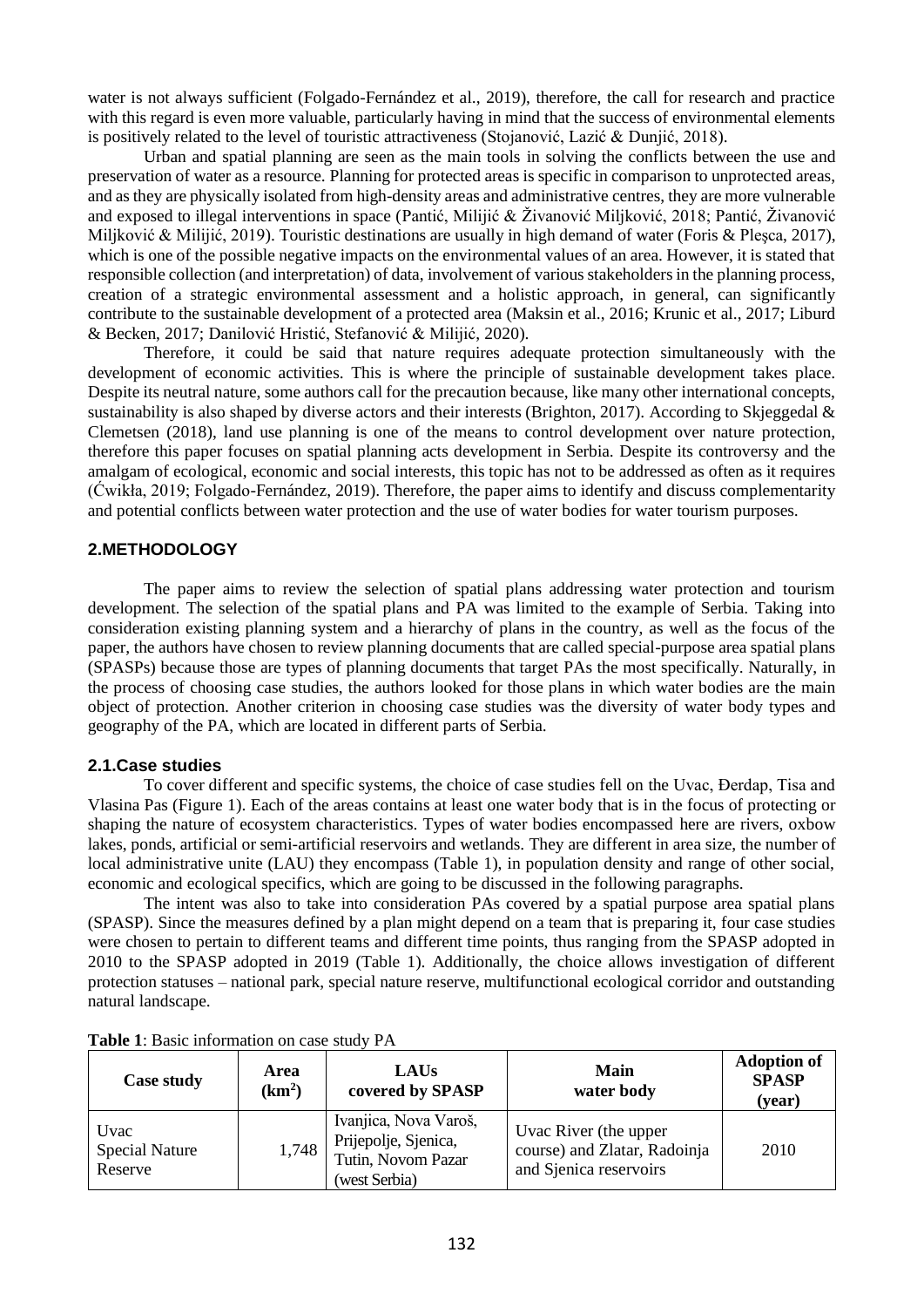water is not always sufficient (Folgado-Fernández et al., 2019), therefore, the call for research and practice with this regard is even more valuable, particularly having in mind that the success of environmental elements is positively related to the level of touristic attractiveness (Stojanović, Lazić & Dunjić, 2018).

Urban and spatial planning are seen as the main tools in solving the conflicts between the use and preservation of water as a resource. Planning for protected areas is specific in comparison to unprotected areas, and as they are physically isolated from high-density areas and administrative centres, they are more vulnerable and exposed to illegal interventions in space (Pantić, Milijić & Živanović Miljković, 2018; Pantić, Živanović Miljković & Milijić, 2019). Touristic destinations are usually in high demand of water (Foris & Pleşca, 2017), which is one of the possible negative impacts on the environmental values of an area. However, it is stated that responsible collection (and interpretation) of data, involvement of various stakeholders in the planning process, creation of a strategic environmental assessment and a holistic approach, in general, can significantly contribute to the sustainable development of a protected area (Maksin et al., 2016; Krunic et al., 2017; Liburd & Becken, 2017; Danilović Hristić, Stefanović & Milijić, 2020).

Therefore, it could be said that nature requires adequate protection simultaneously with the development of economic activities. This is where the principle of sustainable development takes place. Despite its neutral nature, some authors call for the precaution because, like many other international concepts, sustainability is also shaped by diverse actors and their interests (Brighton, 2017). According to Skjeggedal & Clemetsen (2018), land use planning is one of the means to control development over nature protection, therefore this paper focuses on spatial planning acts development in Serbia. Despite its controversy and the amalgam of ecological, economic and social interests, this topic has not to be addressed as often as it requires (Ćwikła, 2019; Folgado-Fernández, 2019). Therefore, the paper aims to identify and discuss complementarity and potential conflicts between water protection and the use of water bodies for water tourism purposes.

# **2.METHODOLOGY**

The paper aims to review the selection of spatial plans addressing water protection and tourism development. The selection of the spatial plans and PA was limited to the example of Serbia. Taking into consideration existing planning system and a hierarchy of plans in the country, as well as the focus of the paper, the authors have chosen to review planning documents that are called special-purpose area spatial plans (SPASPs) because those are types of planning documents that target PAs the most specifically. Naturally, in the process of choosing case studies, the authors looked for those plans in which water bodies are the main object of protection. Another criterion in choosing case studies was the diversity of water body types and geography of the PA, which are located in different parts of Serbia.

#### **2.1.Case studies**

To cover different and specific systems, the choice of case studies fell on the Uvac, Đerdap, Tisa and Vlasina Pas (Figure 1). Each of the areas contains at least one water body that is in the focus of protecting or shaping the nature of ecosystem characteristics. Types of water bodies encompassed here are rivers, oxbow lakes, ponds, artificial or semi-artificial reservoirs and wetlands. They are different in area size, the number of local administrative unite (LAU) they encompass (Table 1), in population density and range of other social, economic and ecological specifics, which are going to be discussed in the following paragraphs.

The intent was also to take into consideration PAs covered by a spatial purpose area spatial plans (SPASP). Since the measures defined by a plan might depend on a team that is preparing it, four case studies were chosen to pertain to different teams and different time points, thus ranging from the SPASP adopted in 2010 to the SPASP adopted in 2019 (Table 1). Additionally, the choice allows investigation of different protection statuses – national park, special nature reserve, multifunctional ecological corridor and outstanding natural landscape.

| Case study                               | Area<br>(km <sup>2</sup> ) | LAUS<br>covered by SPASP                                                             | Main<br>water body                                                              | <b>Adoption of</b><br><b>SPASP</b><br>(year) |
|------------------------------------------|----------------------------|--------------------------------------------------------------------------------------|---------------------------------------------------------------------------------|----------------------------------------------|
| Uvac<br><b>Special Nature</b><br>Reserve | 1,748                      | Ivanjica, Nova Varoš,<br>Prijepolje, Sjenica,<br>Tutin, Novom Pazar<br>(west Serbia) | Uvac River (the upper<br>course) and Zlatar, Radoinja<br>and Sjenica reservoirs | 2010                                         |

**Table 1**: Basic information on case study PA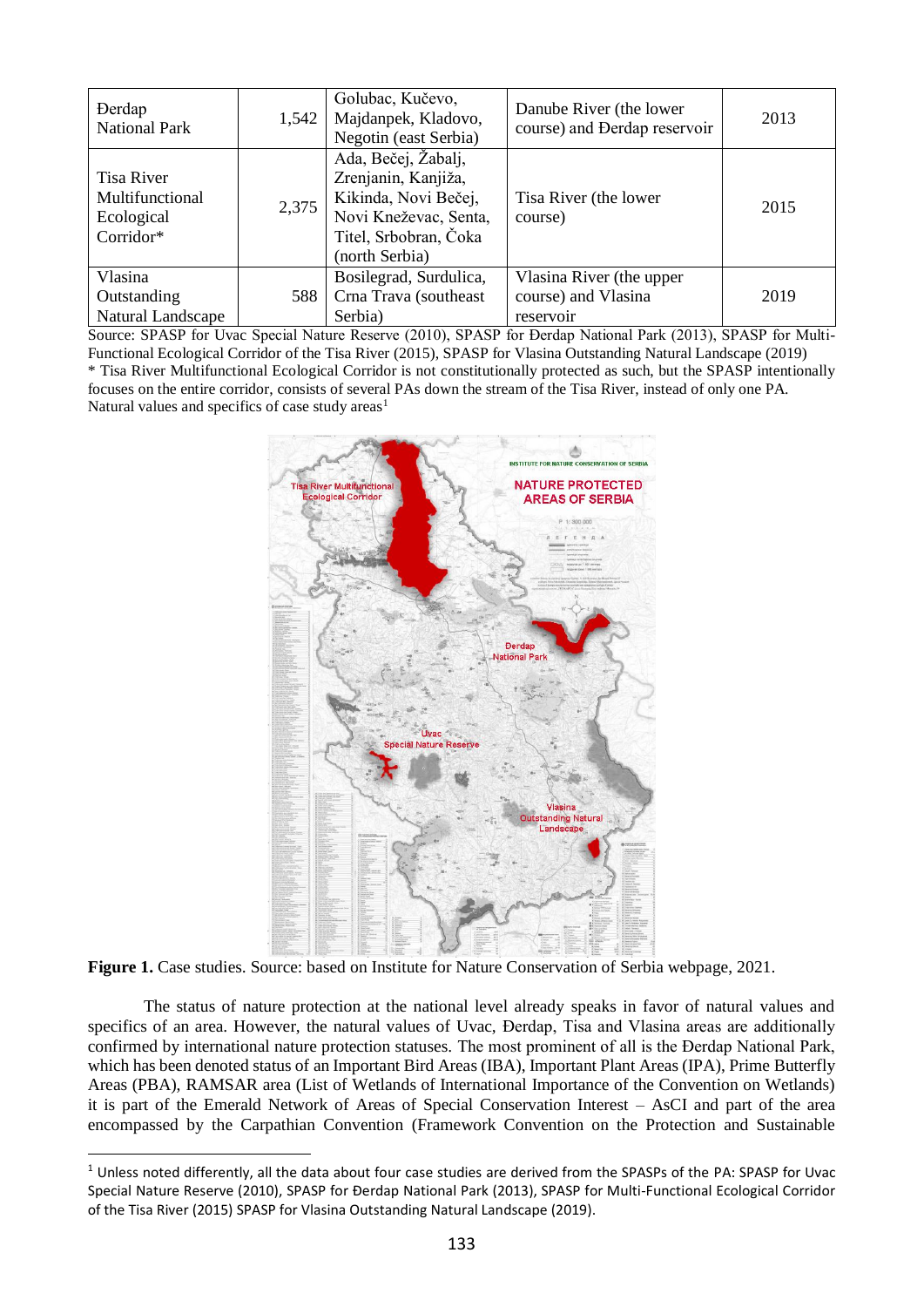| <b>Derdap</b><br><b>National Park</b>                    | 1,542 | Golubac, Kučevo,<br>Majdanpek, Kladovo,<br>Negotin (east Serbia)                                                                       | Danube River (the lower<br>course) and Derdap reservoir      | 2013 |
|----------------------------------------------------------|-------|----------------------------------------------------------------------------------------------------------------------------------------|--------------------------------------------------------------|------|
| Tisa River<br>Multifunctional<br>Ecological<br>Corridor* | 2,375 | Ada, Bečej, Žabalj,<br>Zrenjanin, Kanjiža,<br>Kikinda, Novi Bečej,<br>Novi Kneževac, Senta,<br>Titel, Srbobran, Čoka<br>(north Serbia) | Tisa River (the lower<br>course)                             | 2015 |
| Vlasina<br>Outstanding<br>Natural Landscape              | 588   | Bosilegrad, Surdulica,<br>Crna Trava (southeast<br>Serbia)                                                                             | Vlasina River (the upper<br>course) and Vlasina<br>reservoir | 2019 |

Source: SPASP for Uvac Special Nature Reserve (2010), SPASP for Đerdap National Park (2013), SPASP for Multi-Functional Ecological Corridor of the Tisa River (2015), SPASP for Vlasina Outstanding Natural Landscape (2019) \* Tisa River Multifunctional Ecological Corridor is not constitutionally protected as such, but the SPASP intentionally focuses on the entire corridor, consists of several PAs down the stream of the Tisa River, instead of only one PA. Natural values and specifics of case study areas<sup>1</sup>



**Figure 1.** Case studies. Source: based on Institute for Nature Conservation of Serbia webpage, 2021.

1

The status of nature protection at the national level already speaks in favor of natural values and specifics of an area. However, the natural values of Uvac, Đerdap, Tisa and Vlasina areas are additionally confirmed by international nature protection statuses. The most prominent of all is the Đerdap National Park, which has been denoted status of an Important Bird Areas (IBA), Important Plant Areas (IPA), Prime Butterfly Areas (PBA), RAMSAR area (List of Wetlands of International Importance of the Convention on Wetlands) it is part of the Emerald Network of Areas of Special Conservation Interest – AsCI and part of the area encompassed by the Carpathian Convention (Framework Convention on the Protection and Sustainable

 $1$  Unless noted differently, all the data about four case studies are derived from the SPASPs of the PA: SPASP for Uvac Special Nature Reserve (2010), SPASP for Đerdap National Park (2013), SPASP for Multi-Functional Ecological Corridor of the Tisa River (2015) SPASP for Vlasina Outstanding Natural Landscape (2019).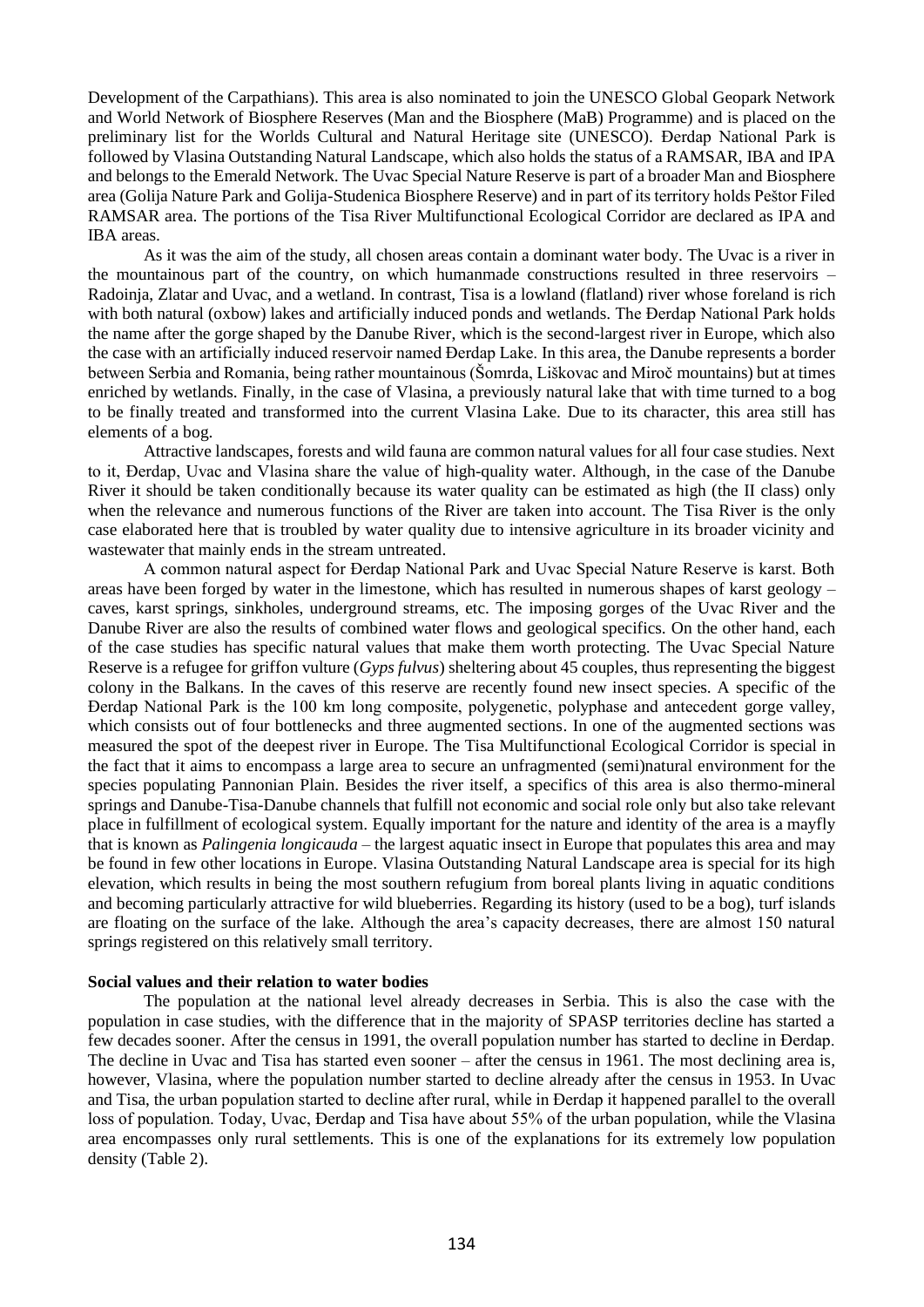Development of the Carpathians). This area is also nominated to join the UNESCO Global Geopark Network and World Network of Biosphere Reserves (Man and the Biosphere (MaB) Programme) and is placed on the preliminary list for the Worlds Cultural and Natural Heritage site (UNESCO). Đerdap National Park is followed by Vlasina Outstanding Natural Landscape, which also holds the status of a RAMSAR, IBA and IPA and belongs to the Emerald Network. The Uvac Special Nature Reserve is part of a broader Man and Biosphere area (Golija Nature Park and Golija-Studenica Biosphere Reserve) and in part of its territory holds Peštor Filed RAMSAR area. The portions of the Tisa River Multifunctional Ecological Corridor are declared as IPA and IBA areas.

As it was the aim of the study, all chosen areas contain a dominant water body. The Uvac is a river in the mountainous part of the country, on which humanmade constructions resulted in three reservoirs – Radoinja, Zlatar and Uvac, and a wetland. In contrast, Tisa is a lowland (flatland) river whose foreland is rich with both natural (oxbow) lakes and artificially induced ponds and wetlands. The Đerdap National Park holds the name after the gorge shaped by the Danube River, which is the second-largest river in Europe, which also the case with an artificially induced reservoir named Đerdap Lake. In this area, the Danube represents a border between Serbia and Romania, being rather mountainous (Šomrda, Liškovac and Miroč mountains) but at times enriched by wetlands. Finally, in the case of Vlasina, a previously natural lake that with time turned to a bog to be finally treated and transformed into the current Vlasina Lake. Due to its character, this area still has elements of a bog.

Attractive landscapes, forests and wild fauna are common natural values for all four case studies. Next to it, Đerdap, Uvac and Vlasina share the value of high-quality water. Although, in the case of the Danube River it should be taken conditionally because its water quality can be estimated as high (the II class) only when the relevance and numerous functions of the River are taken into account. The Tisa River is the only case elaborated here that is troubled by water quality due to intensive agriculture in its broader vicinity and wastewater that mainly ends in the stream untreated.

A common natural aspect for Đerdap National Park and Uvac Special Nature Reserve is karst. Both areas have been forged by water in the limestone, which has resulted in numerous shapes of karst geology – caves, karst springs, sinkholes, underground streams, etc. The imposing gorges of the Uvac River and the Danube River are also the results of combined water flows and geological specifics. On the other hand, each of the case studies has specific natural values that make them worth protecting. The Uvac Special Nature Reserve is a refugee for griffon vulture (*Gyps fulvus*) sheltering about 45 couples, thus representing the biggest colony in the Balkans. In the caves of this reserve are recently found new insect species. A specific of the Đerdap National Park is the 100 km long composite, polygenetic, polyphase and antecedent gorge valley, which consists out of four bottlenecks and three augmented sections. In one of the augmented sections was measured the spot of the deepest river in Europe. The Tisa Multifunctional Ecological Corridor is special in the fact that it aims to encompass a large area to secure an unfragmented (semi)natural environment for the species populating Pannonian Plain. Besides the river itself, a specifics of this area is also thermo-mineral springs and Danube-Tisa-Danube channels that fulfill not economic and social role only but also take relevant place in fulfillment of ecological system. Equally important for the nature and identity of the area is a mayfly that is known as *Palingenia longicauda* – the largest aquatic insect in Europe that populates this area and may be found in few other locations in Europe. Vlasina Outstanding Natural Landscape area is special for its high elevation, which results in being the most southern refugium from boreal plants living in aquatic conditions and becoming particularly attractive for wild blueberries. Regarding its history (used to be a bog), turf islands are floating on the surface of the lake. Although the area's capacity decreases, there are almost 150 natural springs registered on this relatively small territory.

#### **Social values and their relation to water bodies**

The population at the national level already decreases in Serbia. This is also the case with the population in case studies, with the difference that in the majority of SPASP territories decline has started a few decades sooner. After the census in 1991, the overall population number has started to decline in Đerdap. The decline in Uvac and Tisa has started even sooner – after the census in 1961. The most declining area is, however, Vlasina, where the population number started to decline already after the census in 1953. In Uvac and Tisa, the urban population started to decline after rural, while in Đerdap it happened parallel to the overall loss of population. Today, Uvac, Đerdap and Tisa have about 55% of the urban population, while the Vlasina area encompasses only rural settlements. This is one of the explanations for its extremely low population density (Table 2).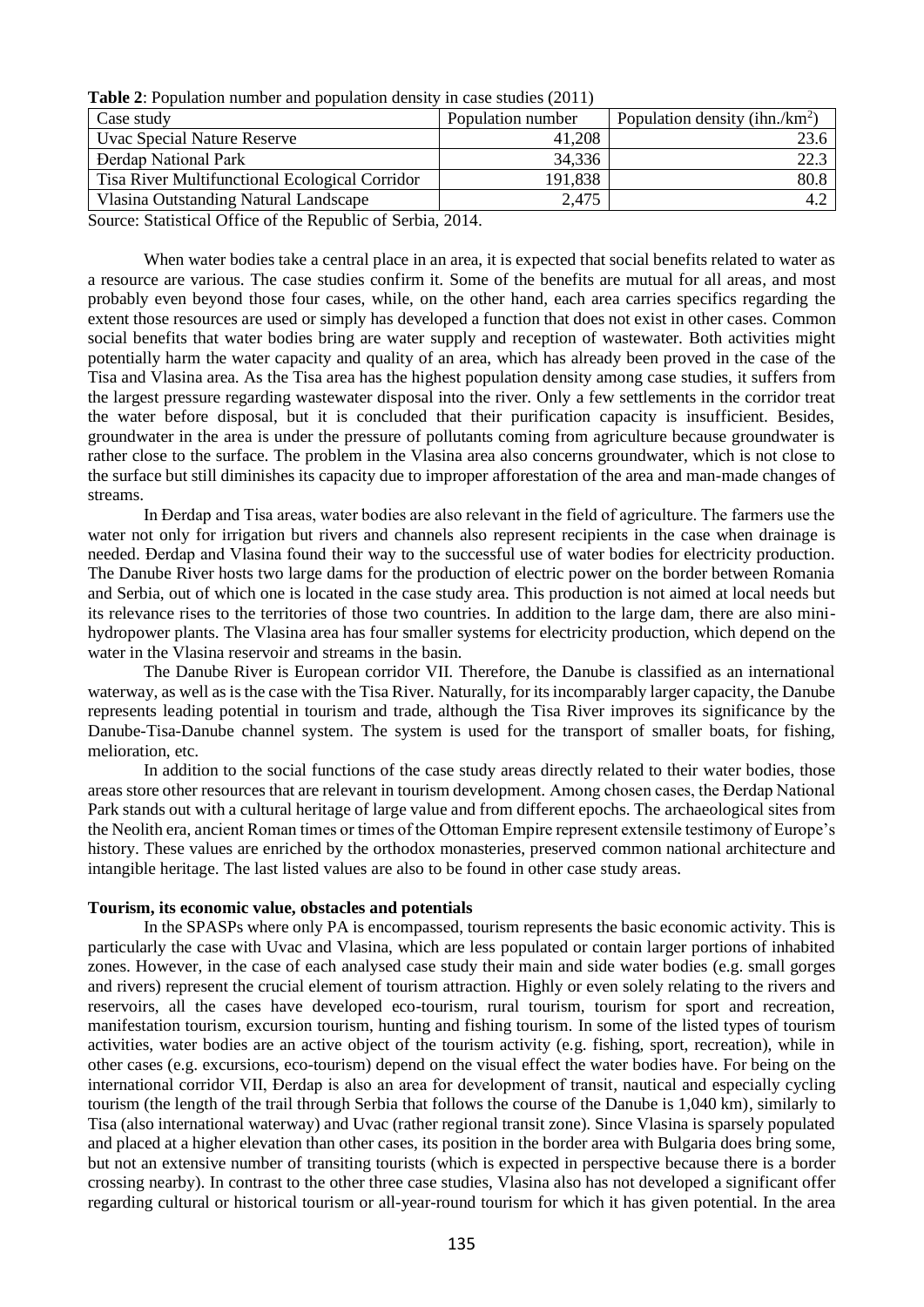**Table 2**: Population number and population density in case studies (2011)

| Case study                                     | Population number | Population density (ihn./ $km^2$ ) |
|------------------------------------------------|-------------------|------------------------------------|
| Uvac Special Nature Reserve                    | 41,208            | 23.6                               |
| <b>Derdap National Park</b>                    | 34,336            | 22.3                               |
| Tisa River Multifunctional Ecological Corridor | 191,838           | 80.8-                              |
| Vlasina Outstanding Natural Landscape          | 2,475             |                                    |

Source: Statistical Office of the Republic of Serbia, 2014.

When water bodies take a central place in an area, it is expected that social benefits related to water as a resource are various. The case studies confirm it. Some of the benefits are mutual for all areas, and most probably even beyond those four cases, while, on the other hand, each area carries specifics regarding the extent those resources are used or simply has developed a function that does not exist in other cases. Common social benefits that water bodies bring are water supply and reception of wastewater. Both activities might potentially harm the water capacity and quality of an area, which has already been proved in the case of the Tisa and Vlasina area. As the Tisa area has the highest population density among case studies, it suffers from the largest pressure regarding wastewater disposal into the river. Only a few settlements in the corridor treat the water before disposal, but it is concluded that their purification capacity is insufficient. Besides, groundwater in the area is under the pressure of pollutants coming from agriculture because groundwater is rather close to the surface. The problem in the Vlasina area also concerns groundwater, which is not close to the surface but still diminishes its capacity due to improper afforestation of the area and man-made changes of streams.

In Đerdap and Tisa areas, water bodies are also relevant in the field of agriculture. The farmers use the water not only for irrigation but rivers and channels also represent recipients in the case when drainage is needed. Đerdap and Vlasina found their way to the successful use of water bodies for electricity production. The Danube River hosts two large dams for the production of electric power on the border between Romania and Serbia, out of which one is located in the case study area. This production is not aimed at local needs but its relevance rises to the territories of those two countries. In addition to the large dam, there are also minihydropower plants. The Vlasina area has four smaller systems for electricity production, which depend on the water in the Vlasina reservoir and streams in the basin.

The Danube River is European corridor VII. Therefore, the Danube is classified as an international waterway, as well as is the case with the Tisa River. Naturally, for its incomparably larger capacity, the Danube represents leading potential in tourism and trade, although the Tisa River improves its significance by the Danube-Tisa-Danube channel system. The system is used for the transport of smaller boats, for fishing, melioration, etc.

In addition to the social functions of the case study areas directly related to their water bodies, those areas store other resources that are relevant in tourism development. Among chosen cases, the Đerdap National Park stands out with a cultural heritage of large value and from different epochs. The archaeological sites from the Neolith era, ancient Roman times or times of the Ottoman Empire represent extensile testimony of Europe's history. These values are enriched by the orthodox monasteries, preserved common national architecture and intangible heritage. The last listed values are also to be found in other case study areas.

#### **Tourism, its economic value, obstacles and potentials**

In the SPASPs where only PA is encompassed, tourism represents the basic economic activity. This is particularly the case with Uvac and Vlasina, which are less populated or contain larger portions of inhabited zones. However, in the case of each analysed case study their main and side water bodies (e.g. small gorges and rivers) represent the crucial element of tourism attraction. Highly or even solely relating to the rivers and reservoirs, all the cases have developed eco-tourism, rural tourism, tourism for sport and recreation, manifestation tourism, excursion tourism, hunting and fishing tourism. In some of the listed types of tourism activities, water bodies are an active object of the tourism activity (e.g. fishing, sport, recreation), while in other cases (e.g. excursions, eco-tourism) depend on the visual effect the water bodies have. For being on the international corridor VII, Đerdap is also an area for development of transit, nautical and especially cycling tourism (the length of the trail through Serbia that follows the course of the Danube is 1,040 km), similarly to Tisa (also international waterway) and Uvac (rather regional transit zone). Since Vlasina is sparsely populated and placed at a higher elevation than other cases, its position in the border area with Bulgaria does bring some, but not an extensive number of transiting tourists (which is expected in perspective because there is a border crossing nearby). In contrast to the other three case studies, Vlasina also has not developed a significant offer regarding cultural or historical tourism or all-year-round tourism for which it has given potential. In the area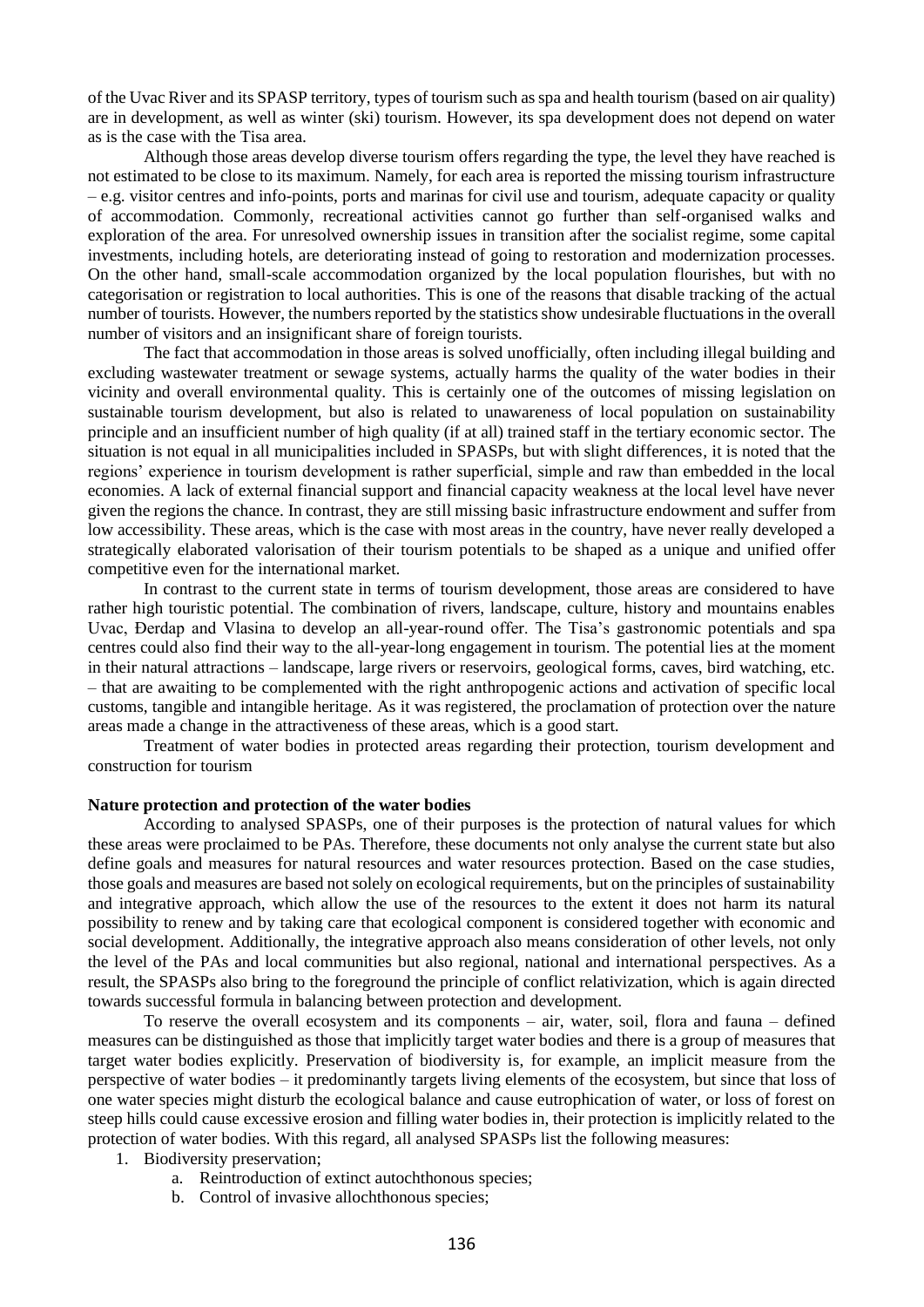of the Uvac River and its SPASP territory, types of tourism such as spa and health tourism (based on air quality) are in development, as well as winter (ski) tourism. However, its spa development does not depend on water as is the case with the Tisa area.

Although those areas develop diverse tourism offers regarding the type, the level they have reached is not estimated to be close to its maximum. Namely, for each area is reported the missing tourism infrastructure – e.g. visitor centres and info-points, ports and marinas for civil use and tourism, adequate capacity or quality of accommodation. Commonly, recreational activities cannot go further than self-organised walks and exploration of the area. For unresolved ownership issues in transition after the socialist regime, some capital investments, including hotels, are deteriorating instead of going to restoration and modernization processes. On the other hand, small-scale accommodation organized by the local population flourishes, but with no categorisation or registration to local authorities. This is one of the reasons that disable tracking of the actual number of tourists. However, the numbers reported by the statistics show undesirable fluctuations in the overall number of visitors and an insignificant share of foreign tourists.

The fact that accommodation in those areas is solved unofficially, often including illegal building and excluding wastewater treatment or sewage systems, actually harms the quality of the water bodies in their vicinity and overall environmental quality. This is certainly one of the outcomes of missing legislation on sustainable tourism development, but also is related to unawareness of local population on sustainability principle and an insufficient number of high quality (if at all) trained staff in the tertiary economic sector. The situation is not equal in all municipalities included in SPASPs, but with slight differences, it is noted that the regions' experience in tourism development is rather superficial, simple and raw than embedded in the local economies. A lack of external financial support and financial capacity weakness at the local level have never given the regions the chance. In contrast, they are still missing basic infrastructure endowment and suffer from low accessibility. These areas, which is the case with most areas in the country, have never really developed a strategically elaborated valorisation of their tourism potentials to be shaped as a unique and unified offer competitive even for the international market.

In contrast to the current state in terms of tourism development, those areas are considered to have rather high touristic potential. The combination of rivers, landscape, culture, history and mountains enables Uvac, Đerdap and Vlasina to develop an all-year-round offer. The Tisa's gastronomic potentials and spa centres could also find their way to the all-year-long engagement in tourism. The potential lies at the moment in their natural attractions – landscape, large rivers or reservoirs, geological forms, caves, bird watching, etc. – that are awaiting to be complemented with the right anthropogenic actions and activation of specific local customs, tangible and intangible heritage. As it was registered, the proclamation of protection over the nature areas made a change in the attractiveness of these areas, which is a good start.

Treatment of water bodies in protected areas regarding their protection, tourism development and construction for tourism

### **Nature protection and protection of the water bodies**

According to analysed SPASPs, one of their purposes is the protection of natural values for which these areas were proclaimed to be PAs. Therefore, these documents not only analyse the current state but also define goals and measures for natural resources and water resources protection. Based on the case studies, those goals and measures are based not solely on ecological requirements, but on the principles of sustainability and integrative approach, which allow the use of the resources to the extent it does not harm its natural possibility to renew and by taking care that ecological component is considered together with economic and social development. Additionally, the integrative approach also means consideration of other levels, not only the level of the PAs and local communities but also regional, national and international perspectives. As a result, the SPASPs also bring to the foreground the principle of conflict relativization, which is again directed towards successful formula in balancing between protection and development.

To reserve the overall ecosystem and its components – air, water, soil, flora and fauna – defined measures can be distinguished as those that implicitly target water bodies and there is a group of measures that target water bodies explicitly. Preservation of biodiversity is, for example, an implicit measure from the perspective of water bodies – it predominantly targets living elements of the ecosystem, but since that loss of one water species might disturb the ecological balance and cause eutrophication of water, or loss of forest on steep hills could cause excessive erosion and filling water bodies in, their protection is implicitly related to the protection of water bodies. With this regard, all analysed SPASPs list the following measures:

- 1. Biodiversity preservation;
	- a. Reintroduction of extinct autochthonous species;
	- b. Control of invasive allochthonous species;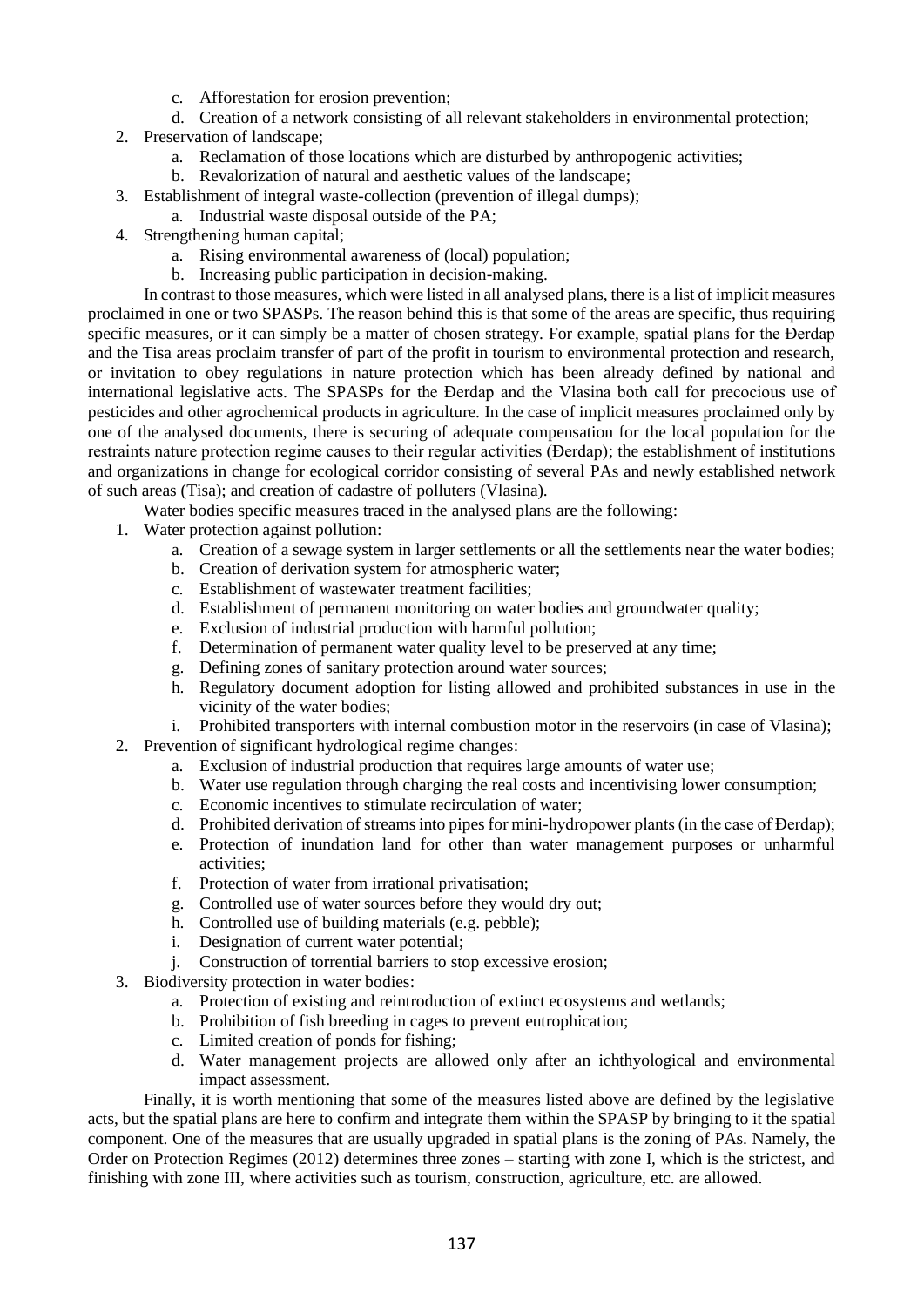- c. Afforestation for erosion prevention;
- d. Creation of a network consisting of all relevant stakeholders in environmental protection;
- 2. Preservation of landscape;
	- a. Reclamation of those locations which are disturbed by anthropogenic activities;
	- b. Revalorization of natural and aesthetic values of the landscape;
- 3. Establishment of integral waste-collection (prevention of illegal dumps);
	- a. Industrial waste disposal outside of the PA;
- 4. Strengthening human capital;
	- a. Rising environmental awareness of (local) population;
	- b. Increasing public participation in decision-making.

In contrast to those measures, which were listed in all analysed plans, there is a list of implicit measures proclaimed in one or two SPASPs. The reason behind this is that some of the areas are specific, thus requiring specific measures, or it can simply be a matter of chosen strategy. For example, spatial plans for the Đerdap and the Tisa areas proclaim transfer of part of the profit in tourism to environmental protection and research, or invitation to obey regulations in nature protection which has been already defined by national and international legislative acts. The SPASPs for the Đerdap and the Vlasina both call for precocious use of pesticides and other agrochemical products in agriculture. In the case of implicit measures proclaimed only by one of the analysed documents, there is securing of adequate compensation for the local population for the restraints nature protection regime causes to their regular activities (Đerdap); the establishment of institutions and organizations in change for ecological corridor consisting of several PAs and newly established network of such areas (Tisa); and creation of cadastre of polluters (Vlasina).

Water bodies specific measures traced in the analysed plans are the following:

- 1. Water protection against pollution:
	- a. Creation of a sewage system in larger settlements or all the settlements near the water bodies;
	- b. Creation of derivation system for atmospheric water;
	- c. Establishment of wastewater treatment facilities;
	- d. Establishment of permanent monitoring on water bodies and groundwater quality;
	- e. Exclusion of industrial production with harmful pollution;
	- f. Determination of permanent water quality level to be preserved at any time;
	- g. Defining zones of sanitary protection around water sources;
	- h. Regulatory document adoption for listing allowed and prohibited substances in use in the vicinity of the water bodies;
	- i. Prohibited transporters with internal combustion motor in the reservoirs (in case of Vlasina);
- 2. Prevention of significant hydrological regime changes:
	- a. Exclusion of industrial production that requires large amounts of water use;
	- b. Water use regulation through charging the real costs and incentivising lower consumption;
	- c. Economic incentives to stimulate recirculation of water;
	- d. Prohibited derivation of streams into pipes for mini-hydropower plants (in the case of Đerdap);
	- e. Protection of inundation land for other than water management purposes or unharmful activities;
	- f. Protection of water from irrational privatisation;
	- g. Controlled use of water sources before they would dry out;
	- h. Controlled use of building materials (e.g. pebble);
	- i. Designation of current water potential;
	- j. Construction of torrential barriers to stop excessive erosion;
- 3. Biodiversity protection in water bodies:
	- a. Protection of existing and reintroduction of extinct ecosystems and wetlands;
	- b. Prohibition of fish breeding in cages to prevent eutrophication;
	- c. Limited creation of ponds for fishing;
	- d. Water management projects are allowed only after an ichthyological and environmental impact assessment.

Finally, it is worth mentioning that some of the measures listed above are defined by the legislative acts, but the spatial plans are here to confirm and integrate them within the SPASP by bringing to it the spatial component. One of the measures that are usually upgraded in spatial plans is the zoning of PAs. Namely, the Order on Protection Regimes (2012) determines three zones – starting with zone I, which is the strictest, and finishing with zone III, where activities such as tourism, construction, agriculture, etc. are allowed.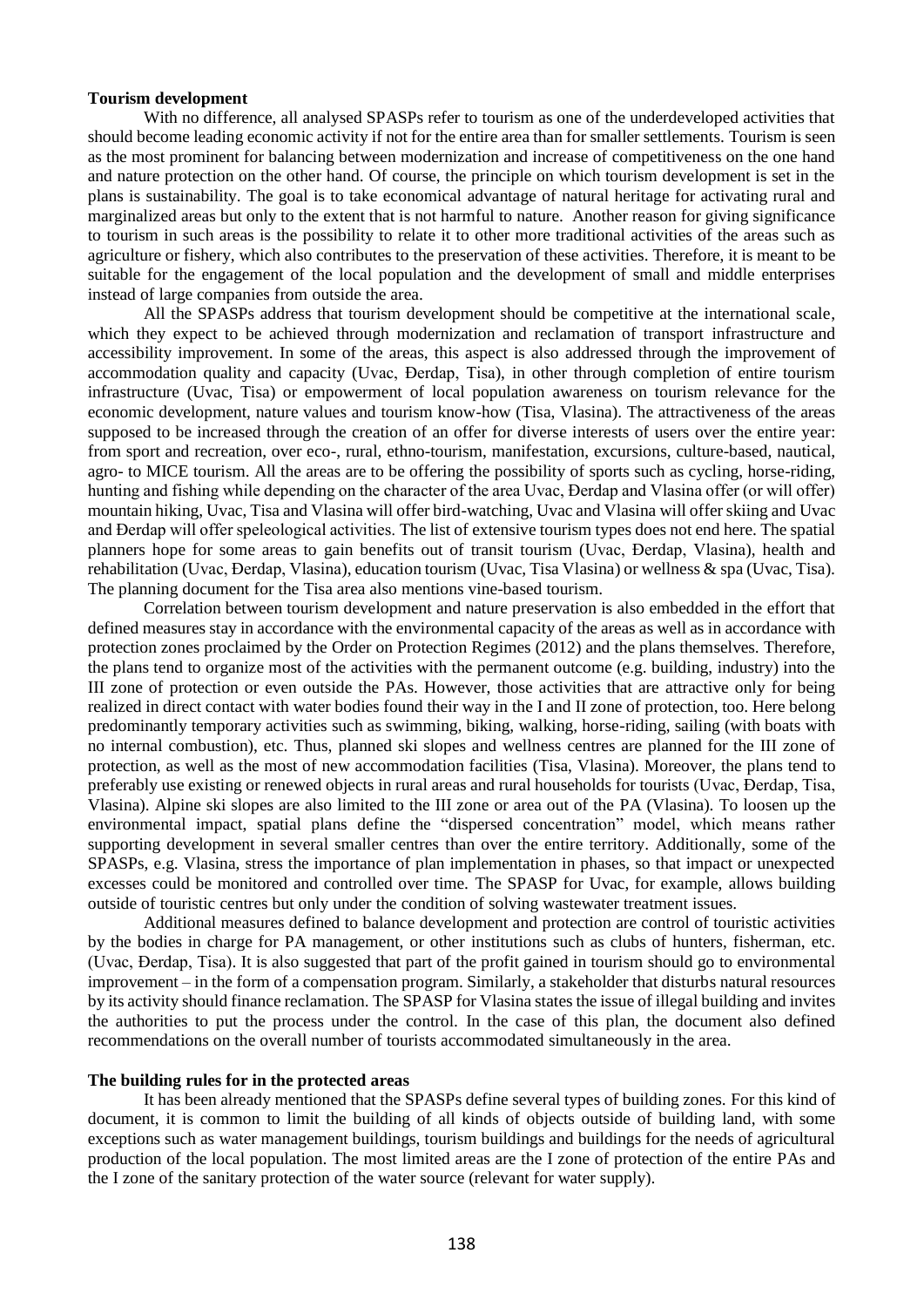#### **Tourism development**

With no difference, all analysed SPASPs refer to tourism as one of the underdeveloped activities that should become leading economic activity if not for the entire area than for smaller settlements. Tourism is seen as the most prominent for balancing between modernization and increase of competitiveness on the one hand and nature protection on the other hand. Of course, the principle on which tourism development is set in the plans is sustainability. The goal is to take economical advantage of natural heritage for activating rural and marginalized areas but only to the extent that is not harmful to nature. Another reason for giving significance to tourism in such areas is the possibility to relate it to other more traditional activities of the areas such as agriculture or fishery, which also contributes to the preservation of these activities. Therefore, it is meant to be suitable for the engagement of the local population and the development of small and middle enterprises instead of large companies from outside the area.

All the SPASPs address that tourism development should be competitive at the international scale, which they expect to be achieved through modernization and reclamation of transport infrastructure and accessibility improvement. In some of the areas, this aspect is also addressed through the improvement of accommodation quality and capacity (Uvac, Đerdap, Tisa), in other through completion of entire tourism infrastructure (Uvac, Tisa) or empowerment of local population awareness on tourism relevance for the economic development, nature values and tourism know-how (Tisa, Vlasina). The attractiveness of the areas supposed to be increased through the creation of an offer for diverse interests of users over the entire year: from sport and recreation, over eco-, rural, ethno-tourism, manifestation, excursions, culture-based, nautical, agro- to MICE tourism. All the areas are to be offering the possibility of sports such as cycling, horse-riding, hunting and fishing while depending on the character of the area Uvac, Đerdap and Vlasina offer (or will offer) mountain hiking, Uvac, Tisa and Vlasina will offer bird-watching, Uvac and Vlasina will offer skiing and Uvac and Đerdap will offer speleological activities. The list of extensive tourism types does not end here. The spatial planners hope for some areas to gain benefits out of transit tourism (Uvac, Đerdap, Vlasina), health and rehabilitation (Uvac, Đerdap, Vlasina), education tourism (Uvac, Tisa Vlasina) or wellness & spa (Uvac, Tisa). The planning document for the Tisa area also mentions vine-based tourism.

Correlation between tourism development and nature preservation is also embedded in the effort that defined measures stay in accordance with the environmental capacity of the areas as well as in accordance with protection zones proclaimed by the Order on Protection Regimes (2012) and the plans themselves. Therefore, the plans tend to organize most of the activities with the permanent outcome (e.g. building, industry) into the III zone of protection or even outside the PAs. However, those activities that are attractive only for being realized in direct contact with water bodies found their way in the I and II zone of protection, too. Here belong predominantly temporary activities such as swimming, biking, walking, horse-riding, sailing (with boats with no internal combustion), etc. Thus, planned ski slopes and wellness centres are planned for the III zone of protection, as well as the most of new accommodation facilities (Tisa, Vlasina). Moreover, the plans tend to preferably use existing or renewed objects in rural areas and rural households for tourists (Uvac, Đerdap, Tisa, Vlasina). Alpine ski slopes are also limited to the III zone or area out of the PA (Vlasina). To loosen up the environmental impact, spatial plans define the "dispersed concentration" model, which means rather supporting development in several smaller centres than over the entire territory. Additionally, some of the SPASPs, e.g. Vlasina, stress the importance of plan implementation in phases, so that impact or unexpected excesses could be monitored and controlled over time. The SPASP for Uvac, for example, allows building outside of touristic centres but only under the condition of solving wastewater treatment issues.

Additional measures defined to balance development and protection are control of touristic activities by the bodies in charge for PA management, or other institutions such as clubs of hunters, fisherman, etc. (Uvac, Đerdap, Tisa). It is also suggested that part of the profit gained in tourism should go to environmental improvement – in the form of a compensation program. Similarly, a stakeholder that disturbs natural resources by its activity should finance reclamation. The SPASP for Vlasina states the issue of illegal building and invites the authorities to put the process under the control. In the case of this plan, the document also defined recommendations on the overall number of tourists accommodated simultaneously in the area.

#### **The building rules for in the protected areas**

It has been already mentioned that the SPASPs define several types of building zones. For this kind of document, it is common to limit the building of all kinds of objects outside of building land, with some exceptions such as water management buildings, tourism buildings and buildings for the needs of agricultural production of the local population. The most limited areas are the I zone of protection of the entire PAs and the I zone of the sanitary protection of the water source (relevant for water supply).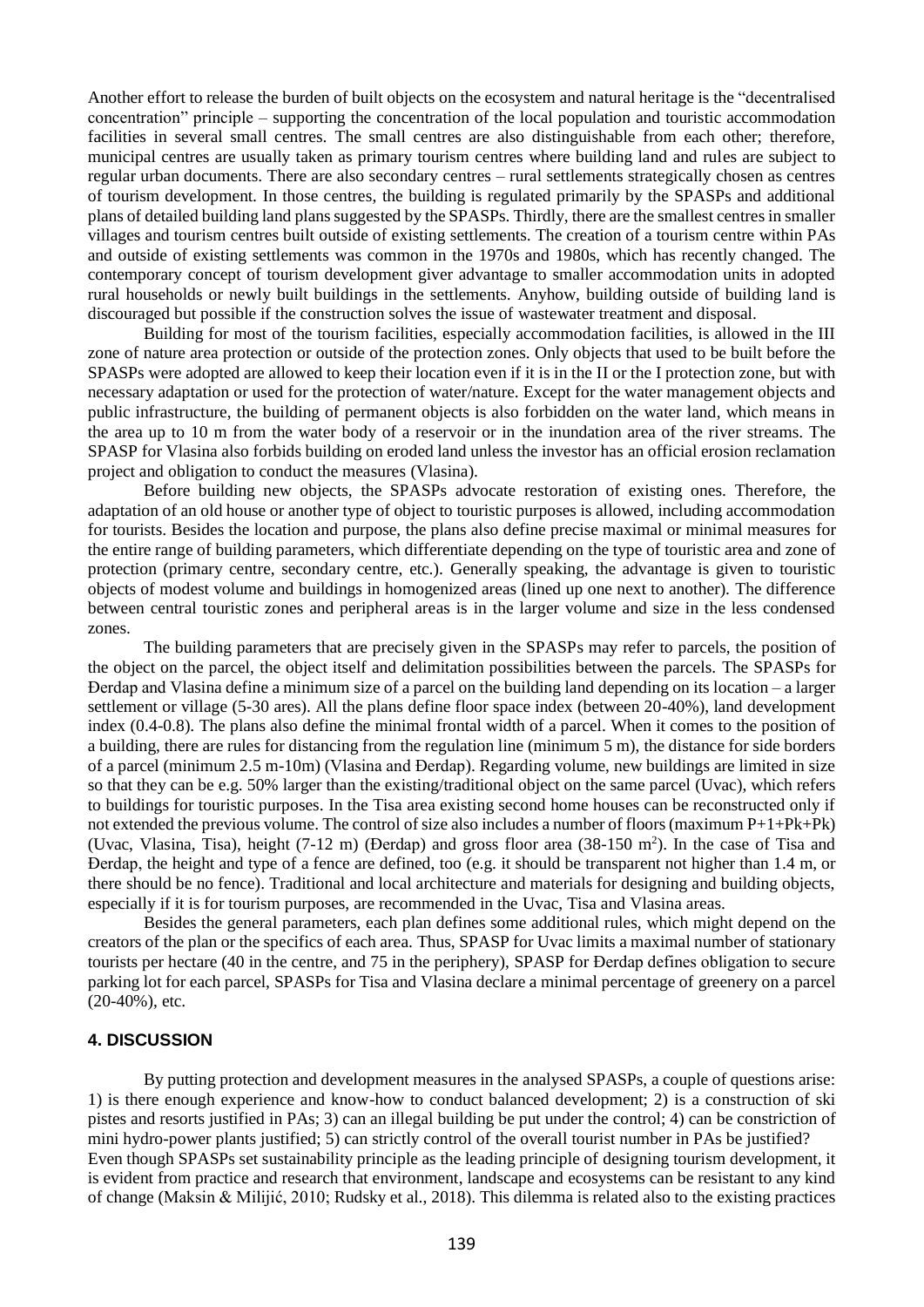Another effort to release the burden of built objects on the ecosystem and natural heritage is the "decentralised concentration" principle – supporting the concentration of the local population and touristic accommodation facilities in several small centres. The small centres are also distinguishable from each other; therefore, municipal centres are usually taken as primary tourism centres where building land and rules are subject to regular urban documents. There are also secondary centres – rural settlements strategically chosen as centres of tourism development. In those centres, the building is regulated primarily by the SPASPs and additional plans of detailed building land plans suggested by the SPASPs. Thirdly, there are the smallest centres in smaller villages and tourism centres built outside of existing settlements. The creation of a tourism centre within PAs and outside of existing settlements was common in the 1970s and 1980s, which has recently changed. The contemporary concept of tourism development giver advantage to smaller accommodation units in adopted rural households or newly built buildings in the settlements. Anyhow, building outside of building land is discouraged but possible if the construction solves the issue of wastewater treatment and disposal.

Building for most of the tourism facilities, especially accommodation facilities, is allowed in the III zone of nature area protection or outside of the protection zones. Only objects that used to be built before the SPASPs were adopted are allowed to keep their location even if it is in the II or the I protection zone, but with necessary adaptation or used for the protection of water/nature. Except for the water management objects and public infrastructure, the building of permanent objects is also forbidden on the water land, which means in the area up to 10 m from the water body of a reservoir or in the inundation area of the river streams. The SPASP for Vlasina also forbids building on eroded land unless the investor has an official erosion reclamation project and obligation to conduct the measures (Vlasina).

Before building new objects, the SPASPs advocate restoration of existing ones. Therefore, the adaptation of an old house or another type of object to touristic purposes is allowed, including accommodation for tourists. Besides the location and purpose, the plans also define precise maximal or minimal measures for the entire range of building parameters, which differentiate depending on the type of touristic area and zone of protection (primary centre, secondary centre, etc.). Generally speaking, the advantage is given to touristic objects of modest volume and buildings in homogenized areas (lined up one next to another). The difference between central touristic zones and peripheral areas is in the larger volume and size in the less condensed zones.

The building parameters that are precisely given in the SPASPs may refer to parcels, the position of the object on the parcel, the object itself and delimitation possibilities between the parcels. The SPASPs for Đerdap and Vlasina define a minimum size of a parcel on the building land depending on its location – a larger settlement or village (5-30 ares). All the plans define floor space index (between 20-40%), land development index (0.4-0.8). The plans also define the minimal frontal width of a parcel. When it comes to the position of a building, there are rules for distancing from the regulation line (minimum 5 m), the distance for side borders of a parcel (minimum 2.5 m-10m) (Vlasina and Đerdap). Regarding volume, new buildings are limited in size so that they can be e.g. 50% larger than the existing/traditional object on the same parcel (Uvac), which refers to buildings for touristic purposes. In the Tisa area existing second home houses can be reconstructed only if not extended the previous volume. The control of size also includes a number of floors (maximum P+1+Pk+Pk) (Uvac, Vlasina, Tisa), height (7-12 m) (Đerdap) and gross floor area (38-150 m<sup>2</sup>). In the case of Tisa and Đerdap, the height and type of a fence are defined, too (e.g. it should be transparent not higher than 1.4 m, or there should be no fence). Traditional and local architecture and materials for designing and building objects, especially if it is for tourism purposes, are recommended in the Uvac, Tisa and Vlasina areas.

Besides the general parameters, each plan defines some additional rules, which might depend on the creators of the plan or the specifics of each area. Thus, SPASP for Uvac limits a maximal number of stationary tourists per hectare (40 in the centre, and 75 in the periphery), SPASP for Đerdap defines obligation to secure parking lot for each parcel, SPASPs for Tisa and Vlasina declare a minimal percentage of greenery on a parcel (20-40%), etc.

# **4. DISCUSSION**

By putting protection and development measures in the analysed SPASPs, a couple of questions arise: 1) is there enough experience and know-how to conduct balanced development; 2) is a construction of ski pistes and resorts justified in PAs; 3) can an illegal building be put under the control; 4) can be constriction of mini hydro-power plants justified; 5) can strictly control of the overall tourist number in PAs be justified? Even though SPASPs set sustainability principle as the leading principle of designing tourism development, it is evident from practice and research that environment, landscape and ecosystems can be resistant to any kind of change (Maksin & Milijić, 2010; Rudsky et al., 2018). This dilemma is related also to the existing practices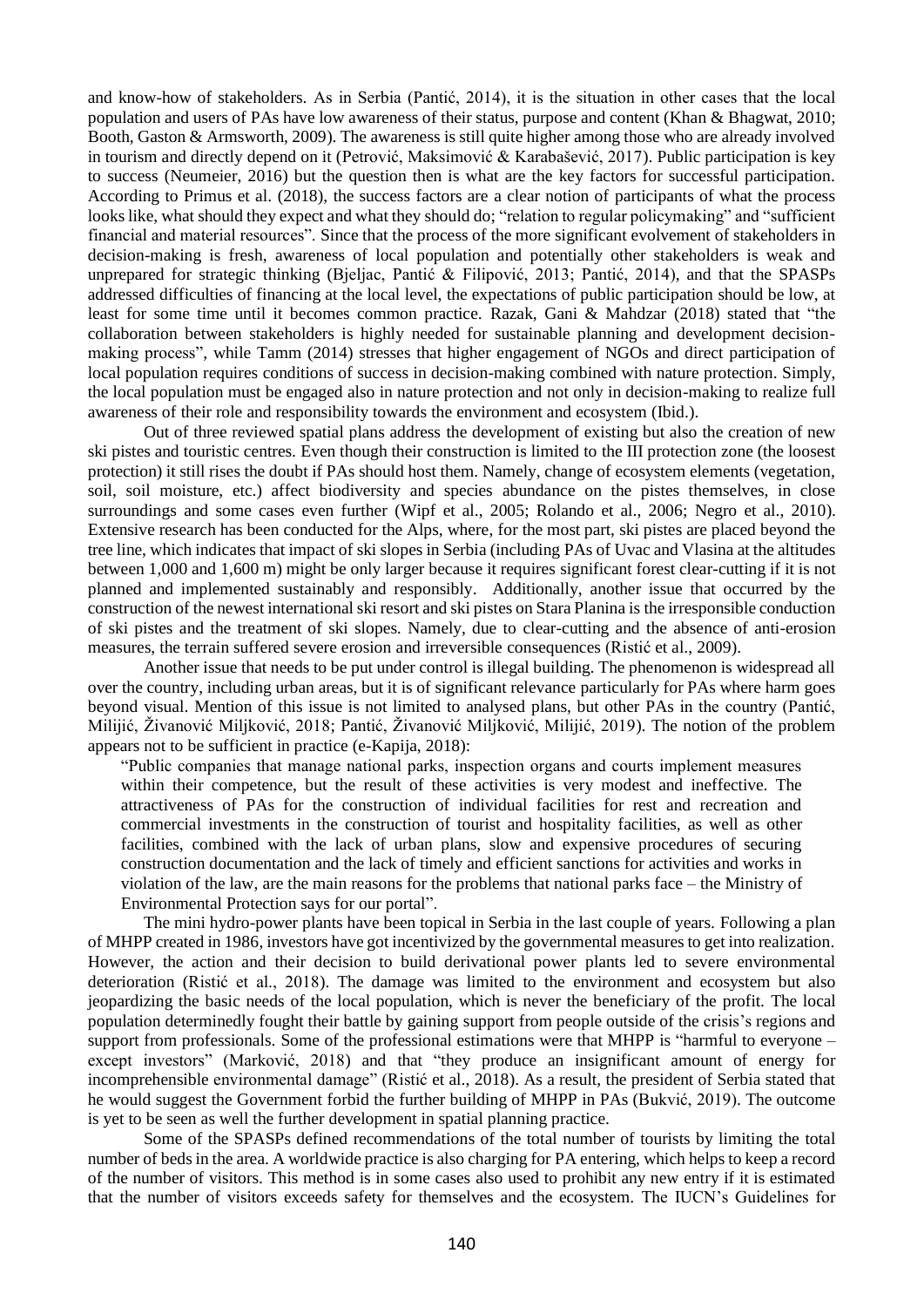and know-how of stakeholders. As in Serbia (Pantić, 2014), it is the situation in other cases that the local population and users of PAs have low awareness of their status, purpose and content (Khan & Bhagwat, 2010; Booth, Gaston & Armsworth, 2009). The awareness is still quite higher among those who are already involved in tourism and directly depend on it (Petrović, Maksimović & Karabašević, 2017). Public participation is key to success (Neumeier, 2016) but the question then is what are the key factors for successful participation. According to Primus et al. (2018), the success factors are a clear notion of participants of what the process looks like, what should they expect and what they should do; "relation to regular policymaking" and "sufficient financial and material resources". Since that the process of the more significant evolvement of stakeholders in decision-making is fresh, awareness of local population and potentially other stakeholders is weak and unprepared for strategic thinking (Bjeljac, Pantić & Filipović, 2013; Pantić, 2014), and that the SPASPs addressed difficulties of financing at the local level, the expectations of public participation should be low, at least for some time until it becomes common practice. Razak, Gani & Mahdzar (2018) stated that "the collaboration between stakeholders is highly needed for sustainable planning and development decisionmaking process", while Tamm (2014) stresses that higher engagement of NGOs and direct participation of local population requires conditions of success in decision-making combined with nature protection. Simply, the local population must be engaged also in nature protection and not only in decision-making to realize full awareness of their role and responsibility towards the environment and ecosystem (Ibid.).

Out of three reviewed spatial plans address the development of existing but also the creation of new ski pistes and touristic centres. Even though their construction is limited to the III protection zone (the loosest protection) it still rises the doubt if PAs should host them. Namely, change of ecosystem elements (vegetation, soil, soil moisture, etc.) affect biodiversity and species abundance on the pistes themselves, in close surroundings and some cases even further (Wipf et al., 2005; Rolando et al., 2006; Negro et al., 2010). Extensive research has been conducted for the Alps, where, for the most part, ski pistes are placed beyond the tree line, which indicates that impact of ski slopes in Serbia (including PAs of Uvac and Vlasina at the altitudes between 1,000 and 1,600 m) might be only larger because it requires significant forest clear-cutting if it is not planned and implemented sustainably and responsibly. Additionally, another issue that occurred by the construction of the newest international ski resort and ski pistes on Stara Planina is the irresponsible conduction of ski pistes and the treatment of ski slopes. Namely, due to clear-cutting and the absence of anti-erosion measures, the terrain suffered severe erosion and irreversible consequences (Ristić et al., 2009).

Another issue that needs to be put under control is illegal building. The phenomenon is widespread all over the country, including urban areas, but it is of significant relevance particularly for PAs where harm goes beyond visual. Mention of this issue is not limited to analysed plans, but other PAs in the country (Pantić, Milijić, Živanović Miljković, 2018; Pantić, Živanović Miljković, Milijić, 2019). The notion of the problem appears not to be sufficient in practice (e-Kapija, 2018):

"Public companies that manage national parks, inspection organs and courts implement measures within their competence, but the result of these activities is very modest and ineffective. The attractiveness of PAs for the construction of individual facilities for rest and recreation and commercial investments in the construction of tourist and hospitality facilities, as well as other facilities, combined with the lack of urban plans, slow and expensive procedures of securing construction documentation and the lack of timely and efficient sanctions for activities and works in violation of the law, are the main reasons for the problems that national parks face – the Ministry of Environmental Protection says for our portal".

The mini hydro-power plants have been topical in Serbia in the last couple of years. Following a plan of MHPP created in 1986, investors have got incentivized by the governmental measures to get into realization. However, the action and their decision to build derivational power plants led to severe environmental deterioration (Ristić et al., 2018). The damage was limited to the environment and ecosystem but also jeopardizing the basic needs of the local population, which is never the beneficiary of the profit. The local population determinedly fought their battle by gaining support from people outside of the crisis's regions and support from professionals. Some of the professional estimations were that MHPP is "harmful to everyone – except investors" (Marković, 2018) and that "they produce an insignificant amount of energy for incomprehensible environmental damage" (Ristić et al., 2018). As a result, the president of Serbia stated that he would suggest the Government forbid the further building of MHPP in PAs (Bukvić, 2019). The outcome is yet to be seen as well the further development in spatial planning practice.

Some of the SPASPs defined recommendations of the total number of tourists by limiting the total number of beds in the area. A worldwide practice is also charging for PA entering, which helps to keep a record of the number of visitors. This method is in some cases also used to prohibit any new entry if it is estimated that the number of visitors exceeds safety for themselves and the ecosystem. The IUCN's Guidelines for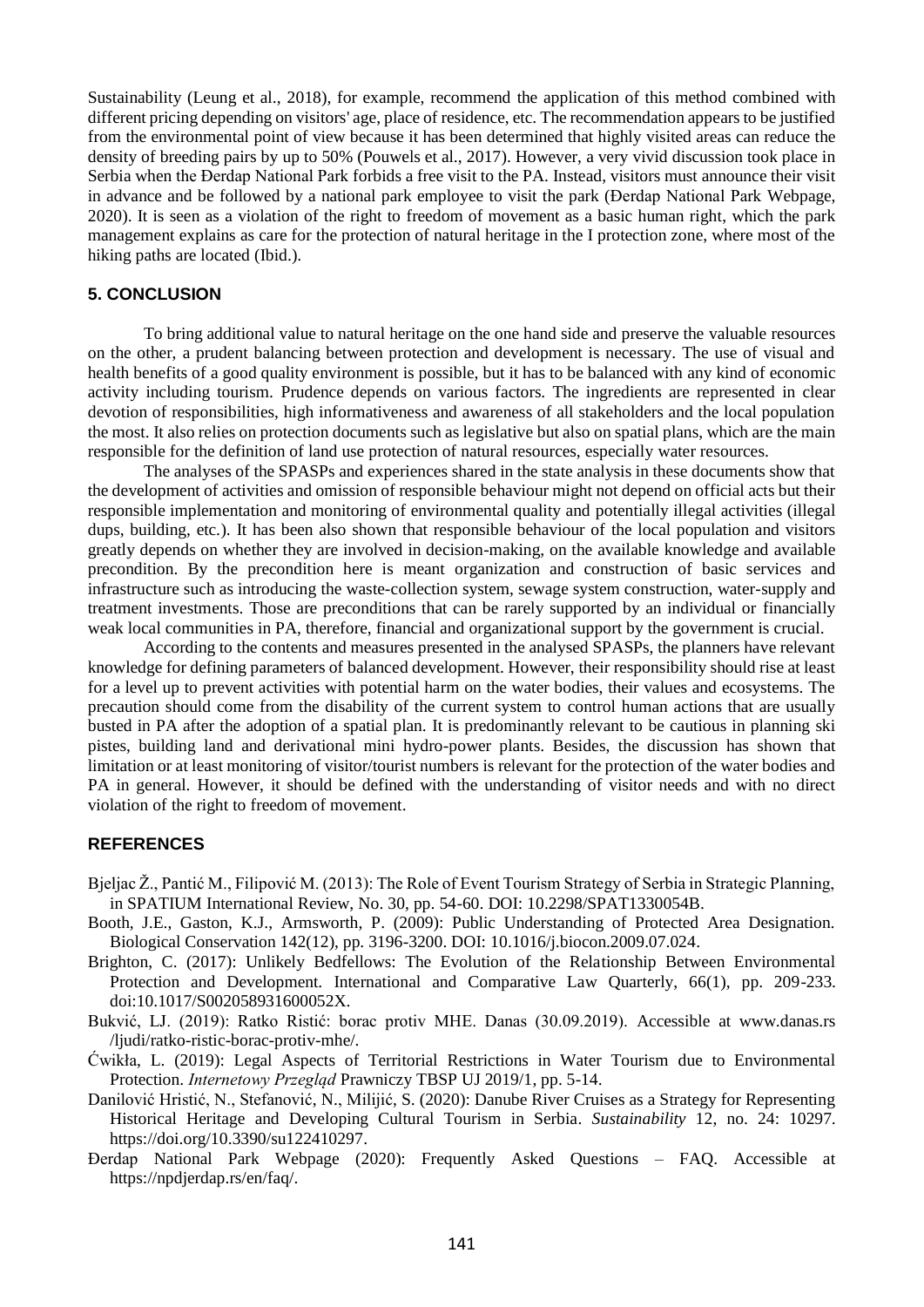Sustainability (Leung et al., 2018), for example, recommend the application of this method combined with different pricing depending on visitors' age, place of residence, etc. The recommendation appears to be justified from the environmental point of view because it has been determined that highly visited areas can reduce the density of breeding pairs by up to 50% (Pouwels et al., 2017). However, a very vivid discussion took place in Serbia when the Đerdap National Park forbids a free visit to the PA. Instead, visitors must announce their visit in advance and be followed by a national park employee to visit the park (Đerdap National Park Webpage, 2020). It is seen as a violation of the right to freedom of movement as a basic human right, which the park management explains as care for the protection of natural heritage in the I protection zone, where most of the hiking paths are located (Ibid.).

### **5. CONCLUSION**

To bring additional value to natural heritage on the one hand side and preserve the valuable resources on the other, a prudent balancing between protection and development is necessary. The use of visual and health benefits of a good quality environment is possible, but it has to be balanced with any kind of economic activity including tourism. Prudence depends on various factors. The ingredients are represented in clear devotion of responsibilities, high informativeness and awareness of all stakeholders and the local population the most. It also relies on protection documents such as legislative but also on spatial plans, which are the main responsible for the definition of land use protection of natural resources, especially water resources.

The analyses of the SPASPs and experiences shared in the state analysis in these documents show that the development of activities and omission of responsible behaviour might not depend on official acts but their responsible implementation and monitoring of environmental quality and potentially illegal activities (illegal dups, building, etc.). It has been also shown that responsible behaviour of the local population and visitors greatly depends on whether they are involved in decision-making, on the available knowledge and available precondition. By the precondition here is meant organization and construction of basic services and infrastructure such as introducing the waste-collection system, sewage system construction, water-supply and treatment investments. Those are preconditions that can be rarely supported by an individual or financially weak local communities in PA, therefore, financial and organizational support by the government is crucial.

According to the contents and measures presented in the analysed SPASPs, the planners have relevant knowledge for defining parameters of balanced development. However, their responsibility should rise at least for a level up to prevent activities with potential harm on the water bodies, their values and ecosystems. The precaution should come from the disability of the current system to control human actions that are usually busted in PA after the adoption of a spatial plan. It is predominantly relevant to be cautious in planning ski pistes, building land and derivational mini hydro-power plants. Besides, the discussion has shown that limitation or at least monitoring of visitor/tourist numbers is relevant for the protection of the water bodies and PA in general. However, it should be defined with the understanding of visitor needs and with no direct violation of the right to freedom of movement.

#### **REFERENCES**

- Bjeljac Ž., Pantić M., Filipović M. (2013): The Role of Event Tourism Strategy of Serbia in Strategic Planning, in SPATIUM International Review, No. 30, pp. 54-60. DOI: 10.2298/SPAT1330054B.
- Booth, J.E., Gaston, K.J., Armsworth, P. (2009): Public Understanding of Protected Area Designation. Biological Conservation 142(12), pp. 3196-3200. DOI: [10.1016/j.biocon.2009.07.024.](https://www.researchgate.net/deref/http%3A%2F%2Fdx.doi.org%2F10.1016%2Fj.biocon.2009.07.024?_sg%5B0%5D=eWi6FCTO-jtN6xbbGecwNb5TuKaECYijGKI_GCSf-MjDkckr8v9XidFAsb65QXCOczdNK6M6qfpe-pGnPTE8UtwszA.JY-d1_qm5Mi8AiOjrmyw9dyc3ENmEBnnafPwKU6Y8XCbWrE4fdPjrLDUdEdxfROXJEBLQvKCg8BbFJjVTeY_9w)
- Brighton, C. (2017): Unlikely Bedfellows: The Evolution of the Relationship Between Environmental Protection and Development. International and Comparative Law Quarterly, 66(1), pp. 209-233. doi:10.1017/S002058931600052X.
- Bukvić, LJ. (2019): Ratko Ristić: borac protiv MHE. Danas (30.09.2019). Accessible at www.danas.rs /ljudi/ratko-ristic-borac-protiv-mhe/.
- Ćwikła, L. (2019): Legal Aspects of Territorial Restrictions in Water Tourism due to Environmental Protection. *Internetowy Przegląd* Prawniczy TBSP UJ 2019/1, pp. 5-14.
- Danilović Hristić, N., Stefanović, N., Milijić, S. (2020): Danube River Cruises as a Strategy for Representing Historical Heritage and Developing Cultural Tourism in Serbia. *Sustainability* 12, no. 24: 10297. [https://doi.org/10.3390/su122410297.](https://doi.org/10.3390/su122410297)
- Đerdap National Park Webpage (2020): Frequently Asked Questions FAQ. Accessible at https://npdjerdap.rs/en/faq/.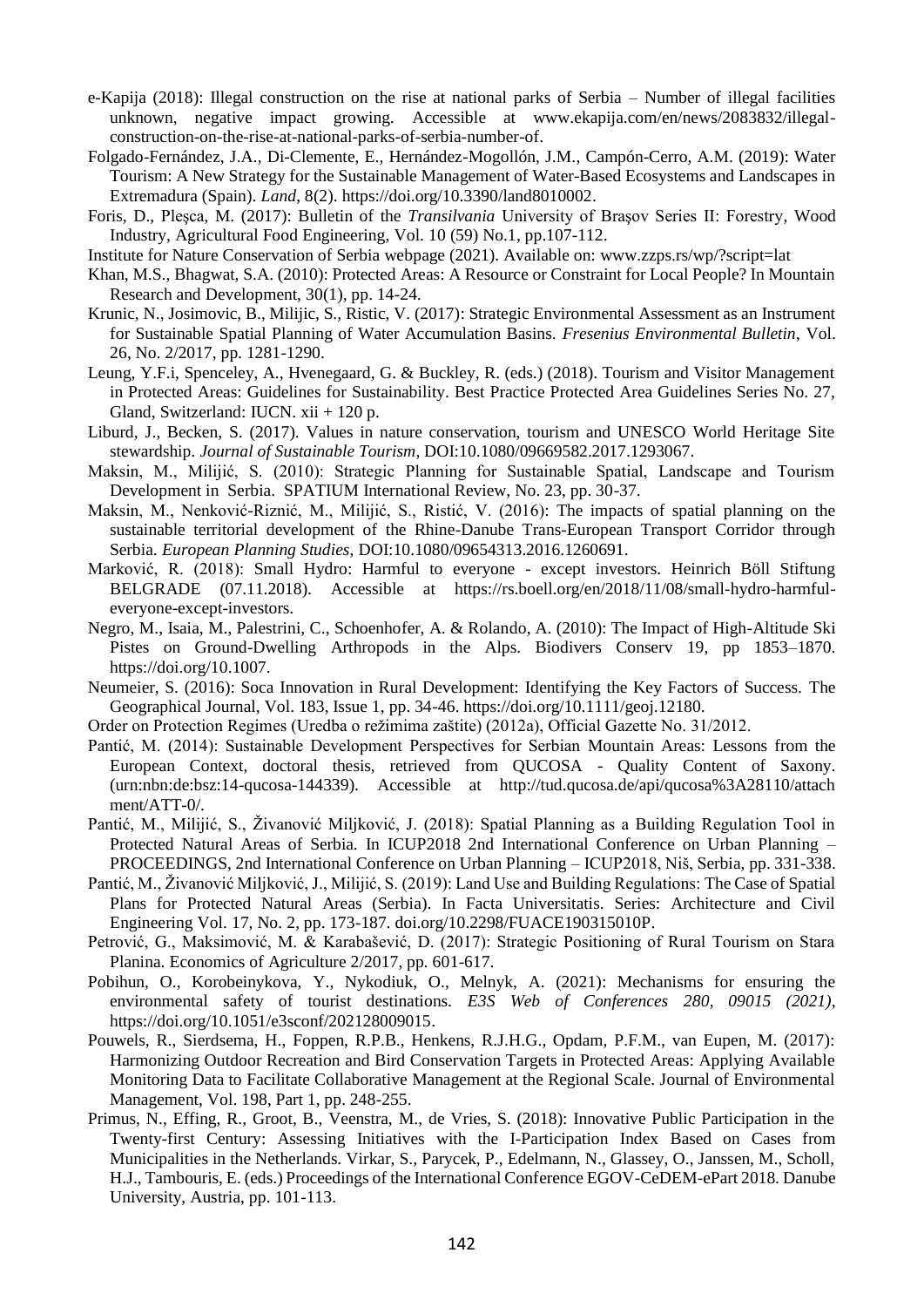- e-Kapija (2018): Illegal construction on the rise at national parks of Serbia Number of illegal facilities unknown, negative impact growing. Accessible at www.ekapija.com/en/news/2083832/illegalconstruction-on-the-rise-at-national-parks-of-serbia-number-of.
- Folgado-Fernández, J.A., Di-Clemente, E., Hernández-Mogollón, J.M., Campón-Cerro, A.M. (2019): Water Tourism: A New Strategy for the Sustainable Management of Water-Based Ecosystems and Landscapes in Extremadura (Spain). *Land*, 8(2). [https://doi.org/10.3390/land8010002.](https://doi.org/10.3390/land8010002)
- Foris, D., Pleşca, M. (2017): Bulletin of the *Transilvania* University of Braşov Series II: Forestry, Wood Industry, Agricultural Food Engineering, Vol. 10 (59) No.1, pp.107-112.
- Institute for Nature Conservation of Serbia webpage (2021). Available on: [www.zzps.rs/wp/?script=lat](http://www.zzps.rs/wp/?script=lat)
- Khan, [M.S.,](https://bioone.org/search?author=Muhammad_Siddiq_Khan) Bhagwat, [S.A. \(2010\): Protected Areas: A Resource or Constraint for Local People? In Mountain](https://bioone.org/search?author=Shonil_A._Bhagwat)  [Research and Development, 30\(1\), pp. 14-24.](https://bioone.org/search?author=Shonil_A._Bhagwat)
- Krunic, N., Josimovic, B., Milijic, S., Ristic, V. (2017): Strategic Environmental Assessment as an Instrument for Sustainable Spatial Planning of Water Accumulation Basins. *Fresenius Environmental Bulletin*, Vol. 26, No. 2/2017, pp. 1281-1290.
- Leung, Y.F.i, Spenceley, A., Hvenegaard, G. & Buckley, R. (eds.) (2018). Tourism and Visitor Management in Protected Areas: Guidelines for Sustainability. Best Practice Protected Area Guidelines Series No. 27, Gland, Switzerland: IUCN. xii + 120 p.
- Liburd, J., Becken, S. (2017). Values in nature conservation, tourism and UNESCO World Heritage Site stewardship. *Journal of Sustainable Tourism*, DOI:10.1080/09669582.2017.1293067.
- Maksin, M., Milijić, S. (2010): Strategic Planning for Sustainable Spatial, Landscape and Tourism Development in Serbia. SPATIUM International Review, No. 23, pp. 30-37.
- Maksin, M., Nenković-Riznić, M., Milijić, S., Ristić, V. (2016): The impacts of spatial planning on the sustainable territorial development of the Rhine-Danube Trans-European Transport Corridor through Serbia. *European Planning Studies*, DOI:10.1080/09654313.2016.1260691.
- Marković, R. (2018): Small Hydro: Harmful to everyone except investors. Heinrich Böll Stiftung BELGRADE (07.11.2018). Accessible at https://rs.boell.org/en/2018/11/08/small-hydro-harmfuleveryone-except-investors.
- Negro, M., Isaia, M., Palestrini, C., Schoenhofer, A. & Rolando, A. (2010): The Impact of High-Altitude Ski Pistes on Ground-Dwelling Arthropods in the Alps. Biodivers Conserv 19, pp 1853–1870. https://doi.org/10.1007.
- Neumeier, S. (2016): Soca Innovation in Rural Development: Identifying the Key Factors of Success. The Geographical Journal, Vol. 183, Issue 1, pp. 34-46. https://doi.org/10.1111/geoj.12180.
- Order on Protection Regimes (Uredba o režimima zaštite) (2012a), Official Gazette No. 31/2012.
- Pantić, M. (2014): Sustainable Development Perspectives for Serbian Mountain Areas: Lessons from the European Context, doctoral thesis, retrieved from QUCOSA - Quality Content of Saxony. (urn:nbn:de:bsz:14-qucosa-144339). Accessible at http://tud.qucosa.de/api/qucosa%3A28110/attach ment/ATT-0/.
- Pantić, M., Milijić, S., Živanović Miljković, J. (2018): Spatial Planning as a Building Regulation Tool in Protected Natural Areas of Serbia. In ICUP2018 2nd International Conference on Urban Planning – PROCEEDINGS, 2nd International Conference on Urban Planning – ICUP2018, Niš, Serbia, pp. 331-338.
- Pantić, M., Živanović Miljković, J., Milijić, S. (2019): Land Use and Building Regulations: The Case of Spatial Plans for Protected Natural Areas (Serbia). In Facta Universitatis. Series: Architecture and Civil Engineering Vol. 17, No. 2, pp. 173-187. [doi.org/10.2298/FUACE190315010P.](https://doi.org/10.2298/FUACE190315010P)
- Petrović, G., Maksimović, M. & Karabašević, D. (2017): Strategic Positioning of Rural Tourism on Stara Planina. Economics of Agriculture 2/2017, pp. 601-617.
- Pobihun, O., Korobeinykova, Y., Nykodiuk, O., Melnyk, A. (2021): Mechanisms for ensuring the environmental safety of tourist destinations*. E3S Web of Conferences 280, 09015 (2021)*, [https://doi.org/10.1051/e3sconf/202128009015.](https://doi.org/10.1051/e3sconf/202128009015)
- Pouwels, R., Sierdsema, H., Foppen, R.P.B., Henkens, R.J.H.G., Opdam, P.F.M., van Eupen, M. (2017): Harmonizing Outdoor Recreation and Bird Conservation Targets in Protected Areas: Applying Available Monitoring Data to Facilitate Collaborative Management at the Regional Scale. Journal of Environmental Management, Vol. 198, Part 1, pp. 248-255.
- Primus, N., Effing, R., Groot, B., Veenstra, M., de Vries, S. (2018): Innovative Public Participation in the Twenty-first Century: Assessing Initiatives with the I-Participation Index Based on Cases from Municipalities in the Netherlands. Virkar, S., Parycek, P., Edelmann, N., Glassey, O., Janssen, M., Scholl, H.J., Tambouris, E. (eds.) Proceedings of the International Conference EGOV-CeDEM-ePart 2018. Danube University, Austria, pp. 101-113.